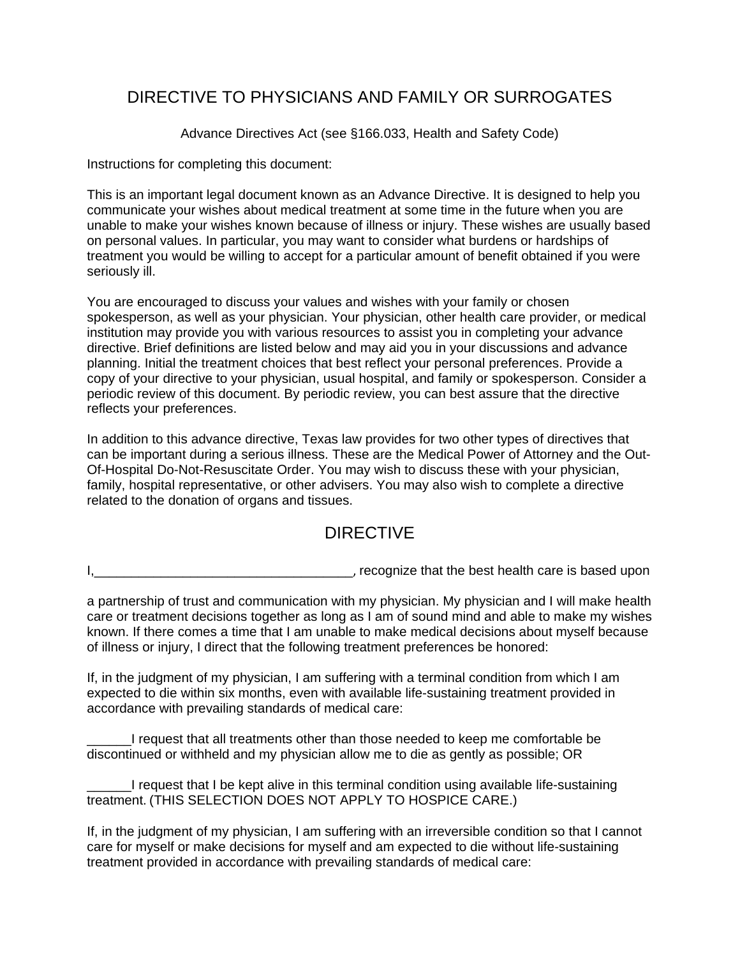## DIRECTIVE TO PHYSICIANS AND FAMILY OR SURROGATES

Advance Directives Act (see §166.033, Health and Safety Code)

Instructions for completing this document:

This is an important legal document known as an Advance Directive. It is designed to help you communicate your wishes about medical treatment at some time in the future when you are unable to make your wishes known because of illness or injury. These wishes are usually based on personal values. In particular, you may want to consider what burdens or hardships of treatment you would be willing to accept for a particular amount of benefit obtained if you were seriously ill.

You are encouraged to discuss your values and wishes with your family or chosen spokesperson, as well as your physician. Your physician, other health care provider, or medical institution may provide you with various resources to assist you in completing your advance directive. Brief definitions are listed below and may aid you in your discussions and advance planning. Initial the treatment choices that best reflect your personal preferences. Provide a copy of your directive to your physician, usual hospital, and family or spokesperson. Consider a periodic review of this document. By periodic review, you can best assure that the directive reflects your preferences.

In addition to this advance directive, Texas law provides for two other types of directives that can be important during a serious illness. These are the Medical Power of Attorney and the Out-Of-Hospital Do-Not-Resuscitate Order. You may wish to discuss these with your physician, family, hospital representative, or other advisers. You may also wish to complete a directive related to the donation of organs and tissues.

## DIRECTIVE

I, recognize that the best health care is based upon

a partnership of trust and communication with my physician. My physician and I will make health care or treatment decisions together as long as I am of sound mind and able to make my wishes known. If there comes a time that I am unable to make medical decisions about myself because of illness or injury, I direct that the following treatment preferences be honored:

If, in the judgment of my physician, I am suffering with a terminal condition from which I am expected to die within six months, even with available life-sustaining treatment provided in accordance with prevailing standards of medical care:

I request that all treatments other than those needed to keep me comfortable be discontinued or withheld and my physician allow me to die as gently as possible; OR

I request that I be kept alive in this terminal condition using available life-sustaining treatment. (THIS SELECTION DOES NOT APPLY TO HOSPICE CARE.)

If, in the judgment of my physician, I am suffering with an irreversible condition so that I cannot care for myself or make decisions for myself and am expected to die without life-sustaining treatment provided in accordance with prevailing standards of medical care: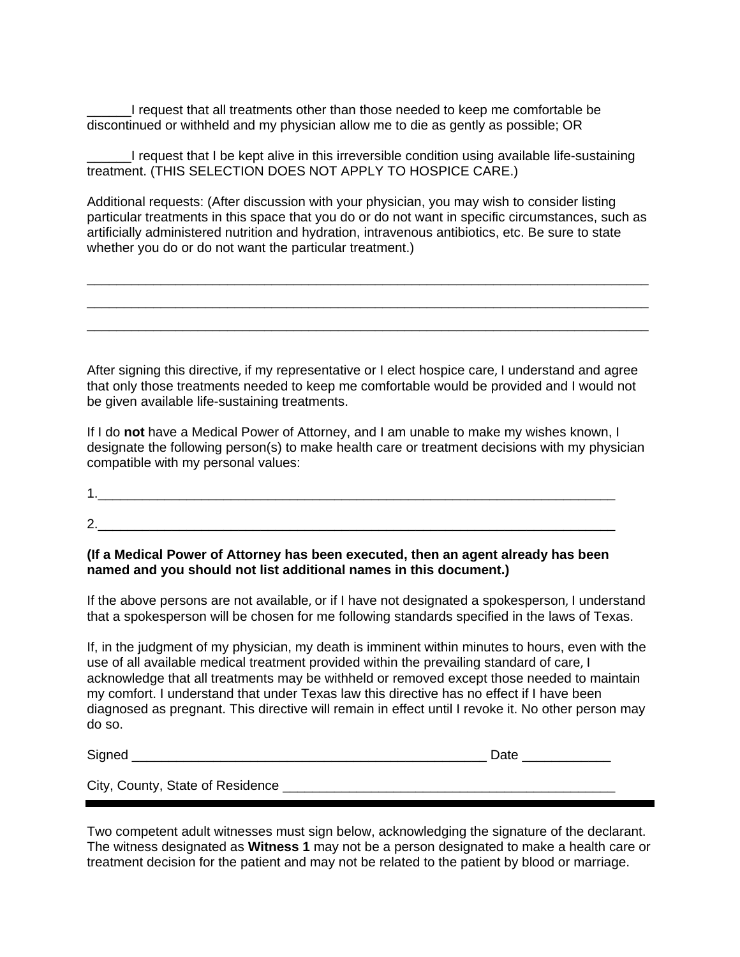\_\_\_\_\_\_I request that all treatments other than those needed to keep me comfortable be discontinued or withheld and my physician allow me to die as gently as possible; OR

\_\_\_\_\_\_I request that I be kept alive in this irreversible condition using available life-sustaining treatment. (THIS SELECTION DOES NOT APPLY TO HOSPICE CARE.)

Additional requests: (After discussion with your physician, you may wish to consider listing particular treatments in this space that you do or do not want in specific circumstances, such as artificially administered nutrition and hydration, intravenous antibiotics, etc. Be sure to state whether you do or do not want the particular treatment.)

\_\_\_\_\_\_\_\_\_\_\_\_\_\_\_\_\_\_\_\_\_\_\_\_\_\_\_\_\_\_\_\_\_\_\_\_\_\_\_\_\_\_\_\_\_\_\_\_\_\_\_\_\_\_\_\_\_\_\_\_\_\_\_\_\_\_\_\_\_\_\_\_\_\_\_\_ \_\_\_\_\_\_\_\_\_\_\_\_\_\_\_\_\_\_\_\_\_\_\_\_\_\_\_\_\_\_\_\_\_\_\_\_\_\_\_\_\_\_\_\_\_\_\_\_\_\_\_\_\_\_\_\_\_\_\_\_\_\_\_\_\_\_\_\_\_\_\_\_\_\_\_\_ \_\_\_\_\_\_\_\_\_\_\_\_\_\_\_\_\_\_\_\_\_\_\_\_\_\_\_\_\_\_\_\_\_\_\_\_\_\_\_\_\_\_\_\_\_\_\_\_\_\_\_\_\_\_\_\_\_\_\_\_\_\_\_\_\_\_\_\_\_\_\_\_\_\_\_\_

After signing this directive, if my representative or I elect hospice care, I understand and agree that only those treatments needed to keep me comfortable would be provided and I would not be given available life-sustaining treatments.

If I do **not** have a Medical Power of Attorney, and I am unable to make my wishes known, I designate the following person(s) to make health care or treatment decisions with my physician compatible with my personal values:

1.  $\blacksquare$ 2.\_\_\_\_\_\_\_\_\_\_\_\_\_\_\_\_\_\_\_\_\_\_\_\_\_\_\_\_\_\_\_\_\_\_\_\_\_\_\_\_\_\_\_\_\_\_\_\_\_\_\_\_\_\_\_\_\_\_\_\_\_\_\_\_\_\_\_\_\_\_

### **(If a Medical Power of Attorney has been executed, then an agent already has been named and you should not list additional names in this document.)**

If the above persons are not available, or if I have not designated a spokesperson, I understand that a spokesperson will be chosen for me following standards specified in the laws of Texas.

If, in the judgment of my physician, my death is imminent within minutes to hours, even with the use of all available medical treatment provided within the prevailing standard of care, I acknowledge that all treatments may be withheld or removed except those needed to maintain my comfort. I understand that under Texas law this directive has no effect if I have been diagnosed as pregnant. This directive will remain in effect until I revoke it. No other person may do so.

Signed \_\_\_\_\_\_\_\_\_\_\_\_\_\_\_\_\_\_\_\_\_\_\_\_\_\_\_\_\_\_\_\_\_\_\_\_\_\_\_\_\_\_\_\_\_\_\_\_ Date \_\_\_\_\_\_\_\_\_\_\_\_

City, County, State of Residence

Two competent adult witnesses must sign below, acknowledging the signature of the declarant. The witness designated as **Witness 1** may not be a person designated to make a health care or treatment decision for the patient and may not be related to the patient by blood or marriage.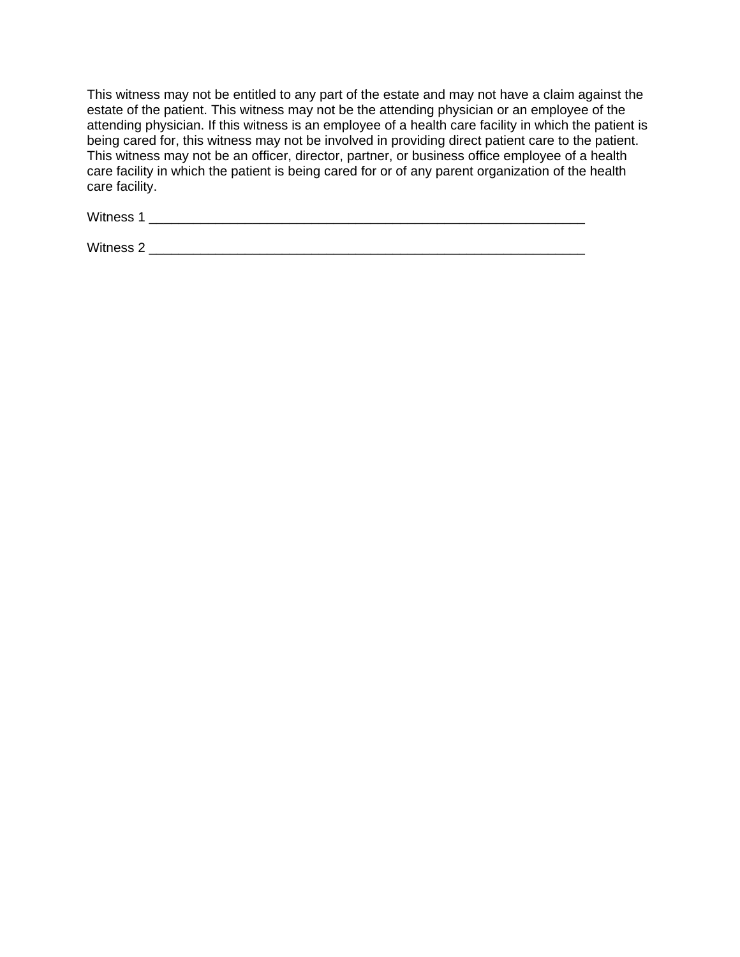This witness may not be entitled to any part of the estate and may not have a claim against the estate of the patient. This witness may not be the attending physician or an employee of the attending physician. If this witness is an employee of a health care facility in which the patient is being cared for, this witness may not be involved in providing direct patient care to the patient. This witness may not be an officer, director, partner, or business office employee of a health care facility in which the patient is being cared for or of any parent organization of the health care facility.

Witness 1 \_\_\_\_\_\_\_\_\_\_\_\_\_\_\_\_\_\_\_\_\_\_\_\_\_\_\_\_\_\_\_\_\_\_\_\_\_\_\_\_\_\_\_\_\_\_\_\_\_\_\_\_\_\_\_\_\_\_\_

Witness 2 **with a set of the set of the set of the set of the set of the set of the set of the set of the set of the set of the set of the set of the set of the set of the set of the set of the set of the set of the set of**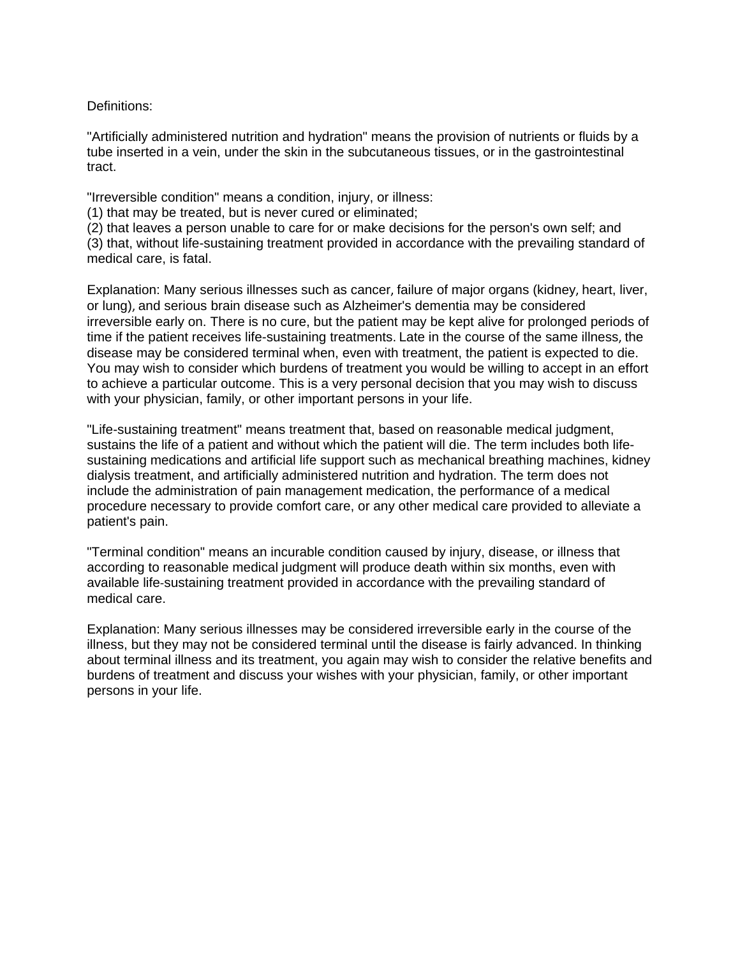Definitions:

"Artificially administered nutrition and hydration" means the provision of nutrients or fluids by a tube inserted in a vein, under the skin in the subcutaneous tissues, or in the gastrointestinal tract.

"Irreversible condition" means a condition, injury, or illness:

(1) that may be treated, but is never cured or eliminated;

(2) that leaves a person unable to care for or make decisions for the person's own self; and (3) that, without life-sustaining treatment provided in accordance with the prevailing standard of medical care, is fatal.

Explanation: Many serious illnesses such as cancer, failure of major organs (kidney, heart, liver, or lung), and serious brain disease such as Alzheimer's dementia may be considered irreversible early on. There is no cure, but the patient may be kept alive for prolonged periods of time if the patient receives life-sustaining treatments. Late in the course of the same illness, the disease may be considered terminal when, even with treatment, the patient is expected to die. You may wish to consider which burdens of treatment you would be willing to accept in an effort to achieve a particular outcome. This is a very personal decision that you may wish to discuss with your physician, family, or other important persons in your life.

"Life-sustaining treatment" means treatment that, based on reasonable medical judgment, sustains the life of a patient and without which the patient will die. The term includes both lifesustaining medications and artificial life support such as mechanical breathing machines, kidney dialysis treatment, and artificially administered nutrition and hydration. The term does not include the administration of pain management medication, the performance of a medical procedure necessary to provide comfort care, or any other medical care provided to alleviate a patient's pain.

"Terminal condition" means an incurable condition caused by injury, disease, or illness that according to reasonable medical judgment will produce death within six months, even with available life-sustaining treatment provided in accordance with the prevailing standard of medical care.

Explanation: Many serious illnesses may be considered irreversible early in the course of the illness, but they may not be considered terminal until the disease is fairly advanced. In thinking about terminal illness and its treatment, you again may wish to consider the relative benefits and burdens of treatment and discuss your wishes with your physician, family, or other important persons in your life.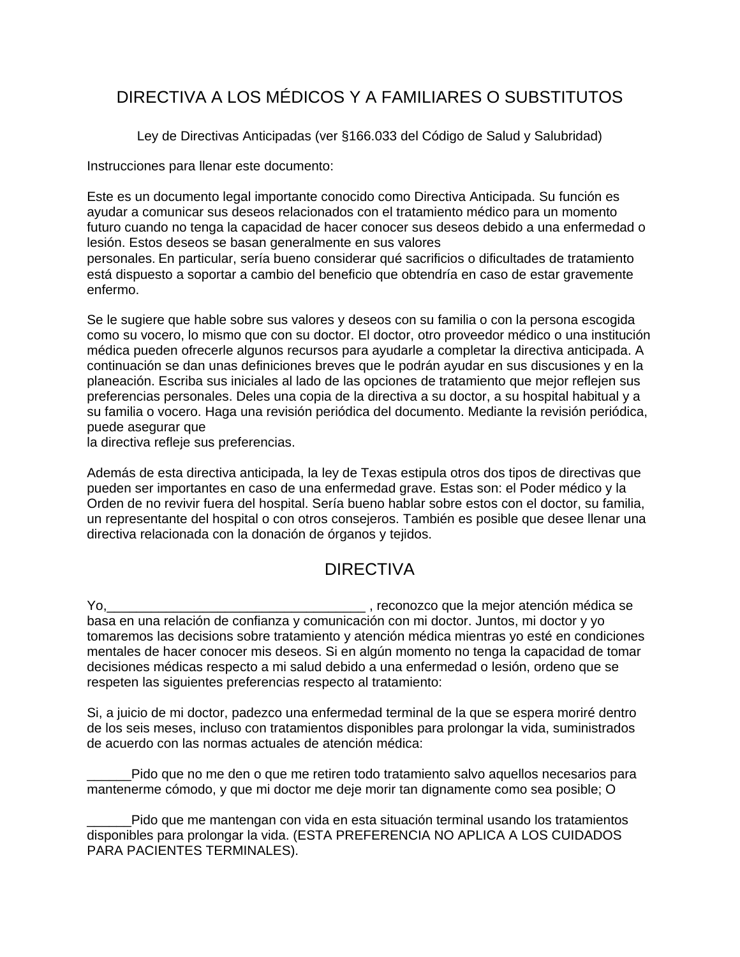# DIRECTIVA A LOS MÉDICOS Y A FAMILIARES O SUBSTITUTOS

Ley de Directivas Anticipadas (ver §166.033 del Código de Salud y Salubridad)

Instrucciones para llenar este documento:

Este es un documento legal importante conocido como Directiva Anticipada. Su función es ayudar a comunicar sus deseos relacionados con el tratamiento médico para un momento futuro cuando no tenga la capacidad de hacer conocer sus deseos debido a una enfermedad o lesión. Estos deseos se basan generalmente en sus valores

personales. En particular, sería bueno considerar qué sacrificios o dificultades de tratamiento está dispuesto a soportar a cambio del beneficio que obtendría en caso de estar gravemente enfermo.

Se le sugiere que hable sobre sus valores y deseos con su familia o con la persona escogida como su vocero, lo mismo que con su doctor. El doctor, otro proveedor médico o una institución médica pueden ofrecerle algunos recursos para ayudarle a completar la directiva anticipada. A continuación se dan unas definiciones breves que le podrán ayudar en sus discusiones y en la planeación. Escriba sus iniciales al lado de las opciones de tratamiento que mejor reflejen sus preferencias personales. Deles una copia de la directiva a su doctor, a su hospital habitual y a su familia o vocero. Haga una revisión periódica del documento. Mediante la revisión periódica, puede asegurar que

la directiva refleje sus preferencias.

Además de esta directiva anticipada, la ley de Texas estipula otros dos tipos de directivas que pueden ser importantes en caso de una enfermedad grave. Estas son: el Poder médico y la Orden de no revivir fuera del hospital. Sería bueno hablar sobre estos con el doctor, su familia, un representante del hospital o con otros consejeros. También es posible que desee llenar una directiva relacionada con la donación de órganos y tejidos.

## DIRECTIVA

Yo,\_\_\_\_\_\_\_\_\_\_\_\_\_\_\_\_\_\_\_\_\_\_\_\_\_\_\_\_\_\_\_\_\_\_\_ , reconozco que la mejor atención médica se basa en una relación de confianza y comunicación con mi doctor. Juntos, mi doctor y yo tomaremos las decisions sobre tratamiento y atención médica mientras yo esté en condiciones mentales de hacer conocer mis deseos. Si en algún momento no tenga la capacidad de tomar decisiones médicas respecto a mi salud debido a una enfermedad o lesión, ordeno que se respeten las siguientes preferencias respecto al tratamiento:

Si, a juicio de mi doctor, padezco una enfermedad terminal de la que se espera moriré dentro de los seis meses, incluso con tratamientos disponibles para prolongar la vida, suministrados de acuerdo con las normas actuales de atención médica:

Pido que no me den o que me retiren todo tratamiento salvo aquellos necesarios para mantenerme cómodo, y que mi doctor me deje morir tan dignamente como sea posible; O

Pido que me mantengan con vida en esta situación terminal usando los tratamientos disponibles para prolongar la vida. (ESTA PREFERENCIA NO APLICA A LOS CUIDADOS PARA PACIENTES TERMINALES).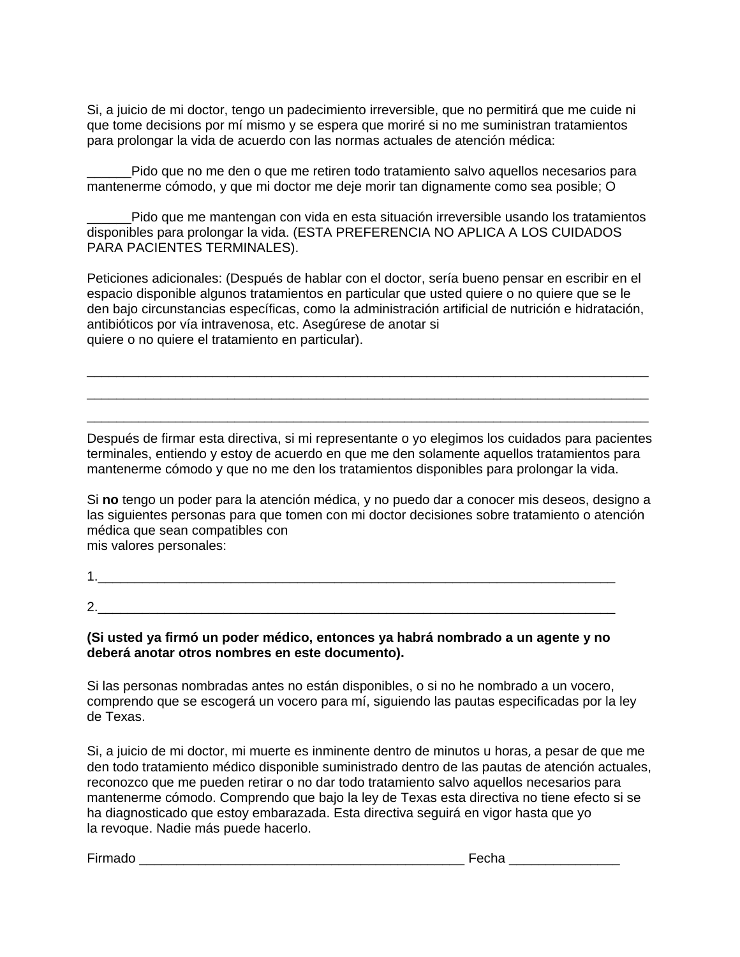Si, a juicio de mi doctor, tengo un padecimiento irreversible, que no permitirá que me cuide ni que tome decisions por mí mismo y se espera que moriré si no me suministran tratamientos para prolongar la vida de acuerdo con las normas actuales de atención médica:

Pido que no me den o que me retiren todo tratamiento salvo aquellos necesarios para mantenerme cómodo, y que mi doctor me deje morir tan dignamente como sea posible; O

\_\_\_\_\_\_Pido que me mantengan con vida en esta situación irreversible usando los tratamientos disponibles para prolongar la vida. (ESTA PREFERENCIA NO APLICA A LOS CUIDADOS PARA PACIENTES TERMINALES).

Peticiones adicionales: (Después de hablar con el doctor, sería bueno pensar en escribir en el espacio disponible algunos tratamientos en particular que usted quiere o no quiere que se le den bajo circunstancias específicas, como la administración artificial de nutrición e hidratación, antibióticos por vía intravenosa, etc. Asegúrese de anotar si quiere o no quiere el tratamiento en particular).

\_\_\_\_\_\_\_\_\_\_\_\_\_\_\_\_\_\_\_\_\_\_\_\_\_\_\_\_\_\_\_\_\_\_\_\_\_\_\_\_\_\_\_\_\_\_\_\_\_\_\_\_\_\_\_\_\_\_\_\_\_\_\_\_\_\_\_\_\_\_\_\_\_\_\_\_ \_\_\_\_\_\_\_\_\_\_\_\_\_\_\_\_\_\_\_\_\_\_\_\_\_\_\_\_\_\_\_\_\_\_\_\_\_\_\_\_\_\_\_\_\_\_\_\_\_\_\_\_\_\_\_\_\_\_\_\_\_\_\_\_\_\_\_\_\_\_\_\_\_\_\_\_ \_\_\_\_\_\_\_\_\_\_\_\_\_\_\_\_\_\_\_\_\_\_\_\_\_\_\_\_\_\_\_\_\_\_\_\_\_\_\_\_\_\_\_\_\_\_\_\_\_\_\_\_\_\_\_\_\_\_\_\_\_\_\_\_\_\_\_\_\_\_\_\_\_\_\_\_

Después de firmar esta directiva, si mi representante o yo elegimos los cuidados para pacientes terminales, entiendo y estoy de acuerdo en que me den solamente aquellos tratamientos para mantenerme cómodo y que no me den los tratamientos disponibles para prolongar la vida.

Si **no** tengo un poder para la atención médica, y no puedo dar a conocer mis deseos, designo a las siguientes personas para que tomen con mi doctor decisiones sobre tratamiento o atención médica que sean compatibles con mis valores personales:

2.

**(Si usted ya firmó un poder médico, entonces ya habrá nombrado a un agente y no deberá anotar otros nombres en este documento).**

Si las personas nombradas antes no están disponibles, o si no he nombrado a un vocero, comprendo que se escogerá un vocero para mí, siguiendo las pautas especificadas por la ley de Texas.

Si, a juicio de mi doctor, mi muerte es inminente dentro de minutos u horas, a pesar de que me den todo tratamiento médico disponible suministrado dentro de las pautas de atención actuales, reconozco que me pueden retirar o no dar todo tratamiento salvo aquellos necesarios para mantenerme cómodo. Comprendo que bajo la ley de Texas esta directiva no tiene efecto si se ha diagnosticado que estoy embarazada. Esta directiva seguirá en vigor hasta que yo la revoque. Nadie más puede hacerlo.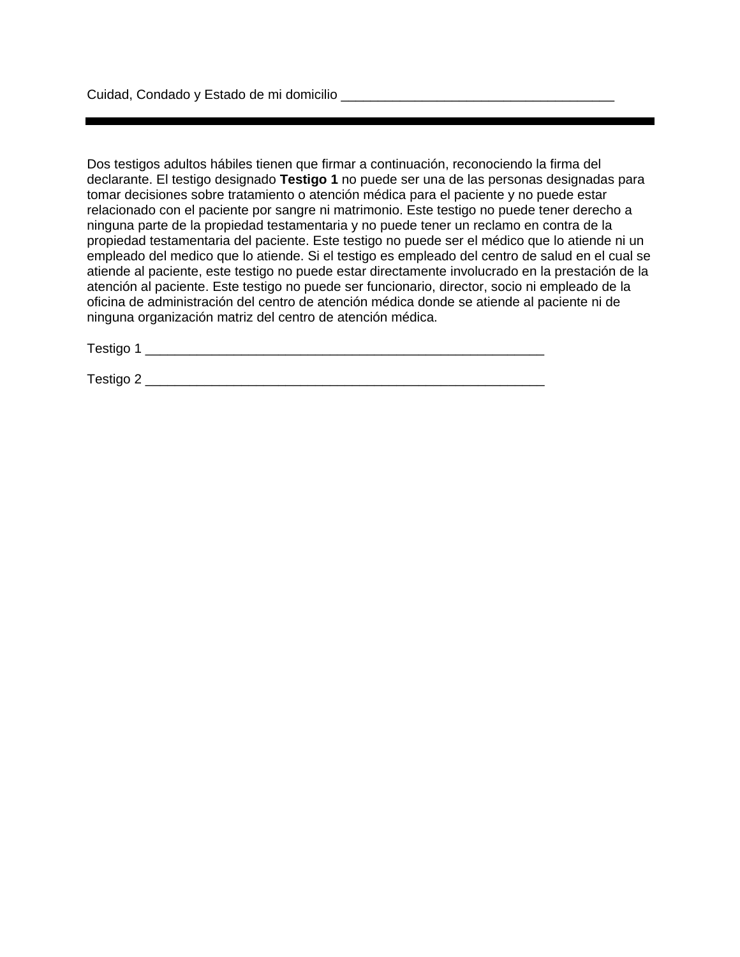Dos testigos adultos hábiles tienen que firmar a continuación, reconociendo la firma del declarante. El testigo designado **Testigo 1** no puede ser una de las personas designadas para tomar decisiones sobre tratamiento o atención médica para el paciente y no puede estar relacionado con el paciente por sangre ni matrimonio. Este testigo no puede tener derecho a ninguna parte de la propiedad testamentaria y no puede tener un reclamo en contra de la propiedad testamentaria del paciente. Este testigo no puede ser el médico que lo atiende ni un empleado del medico que lo atiende. Si el testigo es empleado del centro de salud en el cual se atiende al paciente, este testigo no puede estar directamente involucrado en la prestación de la atención al paciente. Este testigo no puede ser funcionario, director, socio ni empleado de la oficina de administración del centro de atención médica donde se atiende al paciente ni de ninguna organización matriz del centro de atención médica.

Testigo 1 \_\_\_\_\_\_\_\_\_\_\_\_\_\_\_\_\_\_\_\_\_\_\_\_\_\_\_\_\_\_\_\_\_\_\_\_\_\_\_\_\_\_\_\_\_\_\_\_\_\_\_\_\_\_

Testigo 2 \_\_\_\_\_\_\_\_\_\_\_\_\_\_\_\_\_\_\_\_\_\_\_\_\_\_\_\_\_\_\_\_\_\_\_\_\_\_\_\_\_\_\_\_\_\_\_\_\_\_\_\_\_\_